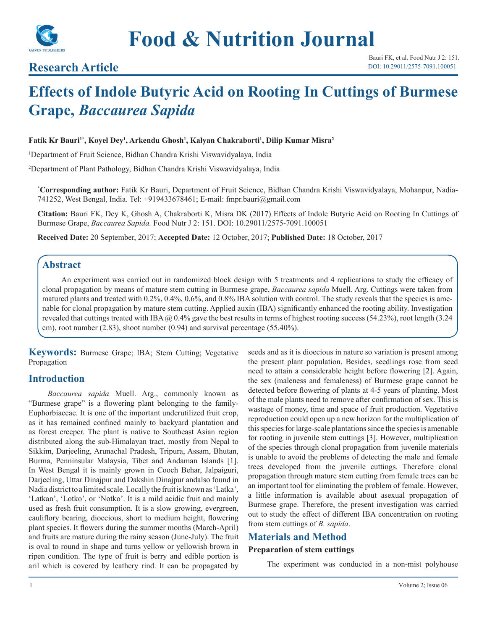

## **Research Article**

# **Effects of Indole Butyric Acid on Rooting In Cuttings of Burmese Grape,** *Baccaurea Sapida*

## **Fatik Kr Bauri1\*, Koyel Dey1 , Arkendu Ghosh1 , Kalyan Chakraborti1 , Dilip Kumar Misra2**

1 Department of Fruit Science, Bidhan Chandra Krishi Viswavidyalaya, India

2 Department of Plant Pathology, Bidhan Chandra Krishi Viswavidyalaya, India

**\* Corresponding author:** Fatik Kr Bauri, Department of Fruit Science, Bidhan Chandra Krishi Viswavidyalaya, Mohanpur, Nadia-741252, West Bengal, India. Tel: +919433678461; E-mail: fmpr.bauri@gmail.com

**Citation:** Bauri FK, Dey K, Ghosh A, Chakraborti K, Misra DK (2017) Effects of Indole Butyric Acid on Rooting In Cuttings of Burmese Grape, *Baccaurea Sapida.* Food Nutr J 2: 151. DOI: 10.29011/2575-7091.100051

**Received Date:** 20 September, 2017; **Accepted Date:** 12 October, 2017; **Published Date:** 18 October, 2017

## **Abstract**

An experiment was carried out in randomized block design with 5 treatments and 4 replications to study the efficacy of clonal propagation by means of mature stem cutting in Burmese grape, *Baccaurea sapida* Muell. Arg. Cuttings were taken from matured plants and treated with 0.2%, 0.4%, 0.6%, and 0.8% IBA solution with control. The study reveals that the species is amenable for clonal propagation by mature stem cutting. Applied auxin (IBA) significantly enhanced the rooting ability. Investigation revealed that cuttings treated with IBA  $\omega$  0.4% gave the best results in terms of highest rooting success (54.23%), root length (3.24 cm), root number  $(2.83)$ , shoot number  $(0.94)$  and survival percentage  $(55.40\%)$ .

**Keywords:** Burmese Grape; IBA; Stem Cutting; Vegetative Propagation

## **Introduction**

*Baccaurea sapida* Muell. Arg., commonly known as "Burmese grape" is a flowering plant belonging to the family-Euphorbiaceae. It is one of the important underutilized fruit crop, as it has remained confined mainly to backyard plantation and as forest creeper. The plant is native to Southeast Asian region distributed along the sub-Himalayan tract, mostly from Nepal to Sikkim, Darjeeling, Arunachal Pradesh, Tripura, Assam, Bhutan, Burma, Penninsular Malaysia, Tibet and Andaman Islands [1]. In West Bengal it is mainly grown in Cooch Behar, Jalpaiguri, Darjeeling, Uttar Dinajpur and Dakshin Dinajpur andalso found in Nadia district to a limited scale. Locally the fruit is known as 'Latka', 'Latkan', 'Lotko', or 'Notko'. It is a mild acidic fruit and mainly used as fresh fruit consumption. It is a slow growing, evergreen, cauliflory bearing, dioecious, short to medium height, flowering plant species. It flowers during the summer months (March-April) and fruits are mature during the rainy season (June-July). The fruit is oval to round in shape and turns yellow or yellowish brown in ripen condition. The type of fruit is berry and edible portion is aril which is covered by leathery rind. It can be propagated by

seeds and as it is dioecious in nature so variation is present among the present plant population. Besides, seedlings rose from seed need to attain a considerable height before flowering [2]. Again, the sex (maleness and femaleness) of Burmese grape cannot be detected before flowering of plants at 4-5 years of planting. Most of the male plants need to remove after confirmation of sex. This is wastage of money, time and space of fruit production. Vegetative reproduction could open up a new horizon for the multiplication of this species for large-scale plantations since the species is amenable for rooting in juvenile stem cuttings [3]. However, multiplication of the species through clonal propagation from juvenile materials is unable to avoid the problems of detecting the male and female trees developed from the juvenile cuttings. Therefore clonal propagation through mature stem cutting from female trees can be an important tool for eliminating the problem of female. However, a little information is available about asexual propagation of Burmese grape. Therefore, the present investigation was carried out to study the effect of different IBA concentration on rooting from stem cuttings of *B. sapida*.

## **Materials and Method**

## **Preparation of stem cuttings**

The experiment was conducted in a non-mist polyhouse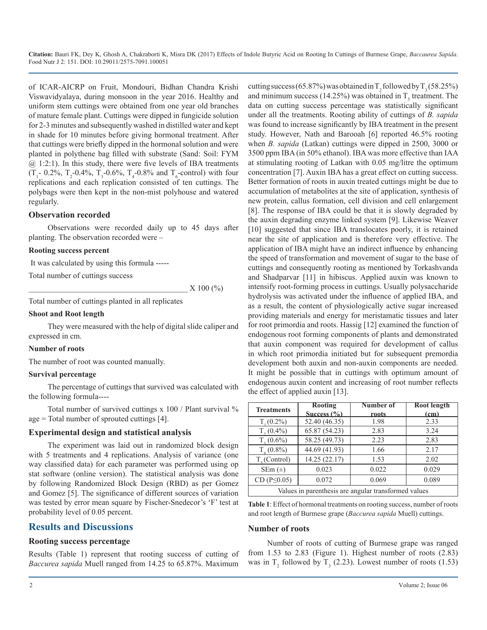**Citation:** Bauri FK, Dey K, Ghosh A, Chakraborti K, Misra DK (2017) Effects of Indole Butyric Acid on Rooting In Cuttings of Burmese Grape, *Baccaurea Sapida*. Food Nutr J 2: 151. DOI: 10.29011/2575-7091.100051

of ICAR-AICRP on Fruit, Mondouri, Bidhan Chandra Krishi Viswavidyalaya, during monsoon in the year 2016. Healthy and uniform stem cuttings were obtained from one year old branches of mature female plant. Cuttings were dipped in fungicide solution for 2-3 minutes and subsequently washed in distilled water and kept in shade for 10 minutes before giving hormonal treatment. After that cuttings were briefly dipped in the hormonal solution and were planted in polythene bag filled with substrate (Sand: Soil: FYM  $(a)$  1:2:1). In this study, there were five levels of IBA treatments  $(T_1 - 0.2\%, T_2 - 0.4\%, T_3 - 0.6\%, T_4 - 0.8\% \text{ and } T_6 \text{-control} )$  with four replications and each replication consisted of ten cuttings. The polybags were then kept in the non-mist polyhouse and watered regularly.

#### **Observation recorded**

Observations were recorded daily up to 45 days after planting. The observation recorded were –

#### **Rooting success percent**

It was calculated by using this formula -----

Total number of cuttings success

 $X$  100 (%)

Total number of cuttings planted in all replicates

#### **Shoot and Root length**

They were measured with the help of digital slide caliper and expressed in cm.

#### **Number of roots**

The number of root was counted manually.

#### **Survival percentage**

The percentage of cuttings that survived was calculated with the following formula----

Total number of survived cuttings x 100 / Plant survival % age = Total number of sprouted cuttings [4].

#### **Experimental design and statistical analysis**

The experiment was laid out in randomized block design with 5 treatments and 4 replications. Analysis of variance (one way classified data) for each parameter was performed using op stat software (online version). The statistical analysis was done by following Randomized Block Design (RBD) as per Gomez and Gomez [5]. The significance of different sources of variation was tested by error mean square by Fischer-Snedecor's 'F' test at probability level of 0.05 percent.

## **Results and Discussions**

#### **Rooting success percentage**

Results (Table 1) represent that rooting success of cutting of *Baccurea sapida* Muell ranged from 14.25 to 65.87%. Maximum cutting success (65.87%) was obtained in  $T_2$  followed by  $T_3$  (58.25%) and minimum success (14.25%) was obtained in  $T_s$  treatment. The data on cutting success percentage was statistically significant under all the treatments. Rooting ability of cuttings of *B. sapida*  was found to increase significantly by IBA treatment in the present study. However, Nath and Barooah [6] reported 46.5% rooting when *B. sapida* (Latkan) cuttings were dipped in 2500, 3000 or 3500 ppm IBA (in 50% ethanol). IBA was more effective than IAA at stimulating rooting of Latkan with 0.05 mg/litre the optimum concentration [7]. Auxin IBA has a great effect on cutting success. Better formation of roots in auxin treated cuttings might be due to accumulation of metabolites at the site of application, synthesis of new protein, callus formation, cell division and cell enlargement [8]. The response of IBA could be that it is slowly degraded by the auxin degrading enzyme linked system [9]. Likewise Weaver [10] suggested that since IBA translocates poorly, it is retained near the site of application and is therefore very effective. The application of IBA might have an indirect influence by enhancing the speed of transformation and movement of sugar to the base of cuttings and consequently rooting as mentioned by Torkashvanda and Shadparvar [11] in hibiscus. Applied auxin was known to intensify root-forming process in cuttings. Usually polysaccharide hydrolysis was activated under the influence of applied IBA, and as a result, the content of physiologically active sugar increased providing materials and energy for meristamatic tissues and later for root primordia and roots. Hassig [12] examined the function of endogenous root forming components of plants and demonstrated that auxin component was required for development of callus in which root primordia initiated but for subsequent premordia development both auxin and non-auxin components are needed. It might be possible that in cuttings with optimum amount of endogenous auxin content and increasing of root number reflects the effect of applied auxin [13].

| <b>Treatments</b>                                    | <b>Rooting</b> | Number of | <b>Root length</b> |  |
|------------------------------------------------------|----------------|-----------|--------------------|--|
|                                                      | Success $(%$   | roots     | <u>(cm)</u>        |  |
| $T_{1}(0.2\%)$                                       | 52.40 (46.35)  | 1.98      | 2.33               |  |
| $T_{2}(0.4\%)$                                       | 65.87 (54.23)  | 2.83      | 3.24               |  |
| $T, (0.6\%)$                                         | 58.25 (49.73)  | 2.23      | 2.83               |  |
| $T_{4}(0.8\%)$                                       | 44.69 (41.93)  | 1.66      | 2.17               |  |
| $Ts$ (Control)                                       | 14.25 (22.17)  | 1.53      | 2.02               |  |
| SEm $(\pm)$                                          | 0.023          | 0.022     | 0.029              |  |
| $CD(P \le 0.05)$                                     | 0.072          | 0.069     | 0.089              |  |
| Values in parenthesis are angular transformed values |                |           |                    |  |

**Table 1**: Effect of hormonal treatments on rooting success, number of roots and root length of Burmese grape (*Baccurea sapida* Muell) cuttings.

#### **Number of roots**

Number of roots of cutting of Burmese grape was ranged from 1.53 to 2.83 (Figure 1). Highest number of roots (2.83) was in  $T_2$  followed by  $T_3$  (2.23). Lowest number of roots (1.53)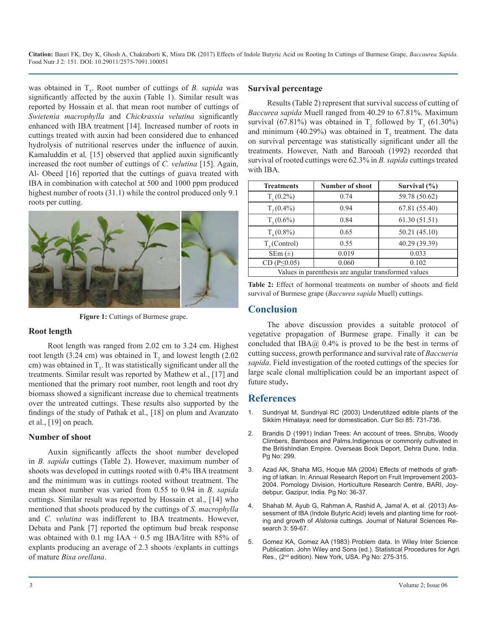**Citation:** Bauri FK, Dey K, Ghosh A, Chakraborti K, Misra DK (2017) Effects of Indole Butyric Acid on Rooting In Cuttings of Burmese Grape, *Baccaurea Sapida*. Food Nutr J 2: 151. DOI: 10.29011/2575-7091.100051

was obtained in T<sub>5</sub>. Root number of cuttings of *B. sapida* was significantly affected by the auxin (Table 1). Similar result was reported by Hossain et al. that mean root number of cuttings of *Swietenia macrophylla* and *Chickrassia velutina* significantly enhanced with IBA treatment [14]. Increased number of roots in cuttings treated with auxin had been considered due to enhanced hydrolysis of nutritional reserves under the influence of auxin. Kamaluddin et al*,* [15] observed that applied auxin significantly increased the root number of cuttings of *C. velutina* [15]. Again, Al- Obeed [16] reported that the cuttings of guava treated with IBA in combination with catechol at 500 and 1000 ppm produced highest number of roots (31.1) while the control produced only 9.1 roots per cutting.



**Figure 1:** Cuttings of Burmese grape.

#### **Root length**

Root length was ranged from 2.02 cm to 3.24 cm. Highest root length (3.24 cm) was obtained in  $T_2$  and lowest length (2.02 cm) was obtained in  $T_s$ . It was statistically significant under all the treatments. Similar result was reported by Mathew et al., [17] and mentioned that the primary root number, root length and root dry biomass showed a significant increase due to chemical treatments over the untreated cuttings. These results also supported by the findings of the study of Pathak et al., [18] on plum and Avanzato et al., [19] on peach.

#### **Number of shoot**

Auxin significantly affects the shoot number developed in *B. sapida* cuttings (Table 2). However, maximum number of shoots was developed in cuttings rooted with 0.4% IBA treatment and the minimum was in cuttings rooted without treatment. The mean shoot number was varied from 0.55 to 0.94 in *B. sapida*  cuttings. Similar result was reported by Hossain et al., [14] who mentioned that shoots produced by the cuttings of *S. macrophylla*  and *C. velutina* was indifferent to IBA treatments. However, Debata and Pank [7] reported the optimum bud break response was obtained with 0.1 mg IAA + 0.5 mg IBA/litre with 85% of [explants producing an average of 2.3 shoots /explants in cuttings](https://books.google.co.in/books?id=PVN7_XRhpdUC&printsec=frontcover&dq=Statistical+Procedures+for+Agri+2nd+edition&hl=en&sa=X&ved=0ahUKEwifzY2P4_TWAhVGRo8KHYebBnsQ6AEIJzAA#v=onepage&q=In Wiley Inter Science Publication &f=false)  of mature *Bixa orellana*.

#### **Survival percentage**

Results (Table 2) represent that survival success of cutting of *Baccurea sapida* Muell ranged from 40.29 to 67.81%. Maximum survival (67.81%) was obtained in  $T_2$  followed by  $T_3$  (61.30%) and minimum (40.29%) was obtained in  $T<sub>5</sub>$  treatment. The data on survival percentage was statistically significant under all the treatments. However, Nath and Barooah (1992) recorded that survival of rooted cuttings were 62.3% in *B. sapida* cuttings treated with IBA.

| <b>Treatments</b>                                    | <b>Number of shoot</b> | Survival (%)  |  |
|------------------------------------------------------|------------------------|---------------|--|
| $T_1(0.2\%)$                                         | 0.74                   | 59.78 (50.62) |  |
| $T_{2}(0.4\%)$                                       | 0.94                   | 67.81 (55.40) |  |
| $T_{3}(0.6\%)$                                       | 0.84                   | 61.30(51.51)  |  |
| $T_{4}(0.8\%)$                                       | 0.65                   | 50.21(45.10)  |  |
| $Ts$ (Control)                                       | 0.55                   | 40.29 (39.39) |  |
| $SEm (\pm)$                                          | 0.019                  | 0.033         |  |
| CD ( $P \leq 0.05$ )                                 | 0.060                  | 0.102         |  |
| Values in parenthesis are angular transformed values |                        |               |  |

**Table 2:** Effect of hormonal treatments on number of shoots and field survival of Burmese grape (*Baccurea sapida* Muell) cuttings.

## **Conclusion**

The above discussion provides a suitable protocol of vegetative propagation of Burmese grape. Finally it can be concluded that  $IBA(\hat{\omega})$  0.4% is proved to be the best in terms of cutting success, growth performance and survival rate of *Baccueria sapida*. Field investigation of the rooted cuttings of the species for large scale clonal multiplication could be an important aspect of future study**.**

## **References**

- 1. [Sundriyal M, Sundriyal RC \(2003\) Underutilized edible plants of the](http://www.iisc.ernet.in/currsci/sep252003/731.pdf)  [Sikkim Himalaya: need for domestication. Curr Sci 85: 731-736.](http://www.iisc.ernet.in/currsci/sep252003/731.pdf)
- 2. Brandis D (1991) Indian Trees: An account of trees, Shrubs, Woody Climbers, Bamboos and Palms.Indigenous or commonly cultivated in the BritishIndian Empire. Overseas Book Deport, Dehra Dune, India. Pg No: 299.
- 3. Azad AK, Shaha MG, Hoque MA (2004) Effects of methods of grafting of latkan. In: Annual Research Report on Fruit Improvement 2003- 2004. Pomology Division, Horticulture Research Centre, BARI, Joydebpur, Gazipur, India. Pg No: 36-37.
- 4. [Shahab M, Ayub G, Rahman A, Rashid A, Jamal A, et al. \(2013\) As](http://www.iiste.org/Journals/index.php/JNSR/article/view/9700/9914)[sessment of IBA \(Indole Butyric Acid\) levels and planting time for root](http://www.iiste.org/Journals/index.php/JNSR/article/view/9700/9914)ing and growth of *Alstonia* [cuttings. Journal of Natural Sciences Re](http://www.iiste.org/Journals/index.php/JNSR/article/view/9700/9914)[search 3: 59-67.](http://www.iiste.org/Journals/index.php/JNSR/article/view/9700/9914)
- 5. [Gomez KA, Gomez AA \(1983\) Problem data. In Wiley Inter Science](https://books.google.co.in/books?id=PVN7_XRhpdUC&printsec=frontcover&dq=Statistical+Procedures+for+Agri+2nd+edition&hl=en&sa=X&ved=0ahUKEwifzY2P4_TWAhVGRo8KHYebBnsQ6AEIJzAA#v=onepage&q=In Wiley Inter Science Publication &f=false)  Publication. John Wiley and Sons (ed.). Statistical Procedures for Agri. Res., (2<sup>nd</sup> edition). New York, USA. Pg No: 275-315.